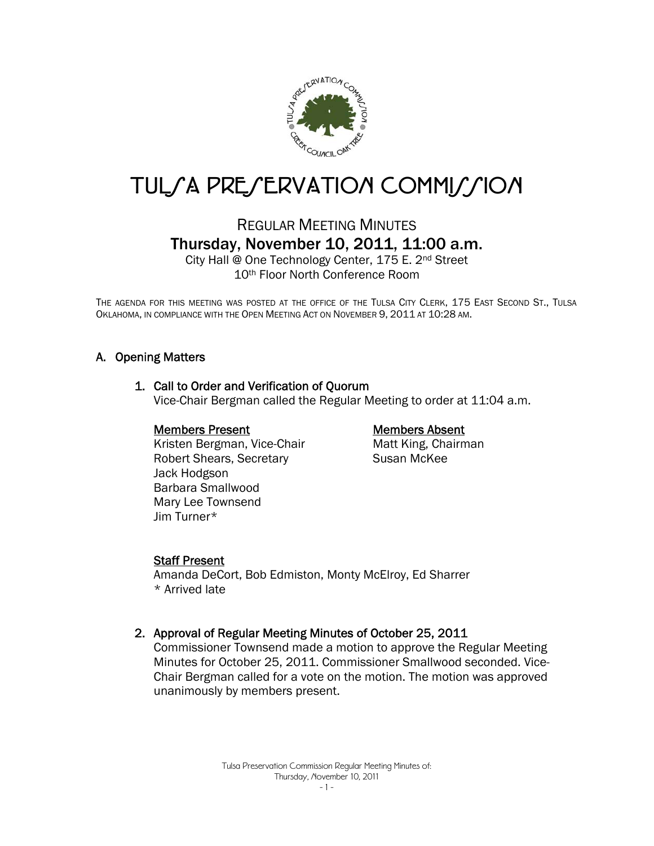

# TUL/A PRE/ERVATION COMMI//ION

## REGULAR MEETING MINUTES Thursday, November 10, 2011, 11:00 a.m.

City Hall @ One Technology Center, 175 E. 2nd Street 10th Floor North Conference Room

THE AGENDA FOR THIS MEETING WAS POSTED AT THE OFFICE OF THE TULSA CITY CLERK, 175 EAST SECOND ST., TULSA OKLAHOMA, IN COMPLIANCE WITH THE OPEN MEETING ACT ON NOVEMBER 9, 2011 AT 10:28 AM.

#### A. Opening Matters

#### 1. Call to Order and Verification of Quorum

Vice-Chair Bergman called the Regular Meeting to order at 11:04 a.m.

#### Members Present

 Kristen Bergman, Vice-Chair Robert Shears, Secretary Jack Hodgson Barbara Smallwood Mary Lee Townsend Jim Turner\*

#### Members Absent

Matt King, Chairman Susan McKee

#### Staff Present

Amanda DeCort, Bob Edmiston, Monty McElroy, Ed Sharrer \* Arrived late

#### 2. Approval of Regular Meeting Minutes of October 25, 2011

Commissioner Townsend made a motion to approve the Regular Meeting Minutes for October 25, 2011. Commissioner Smallwood seconded. Vice-Chair Bergman called for a vote on the motion. The motion was approved unanimously by members present.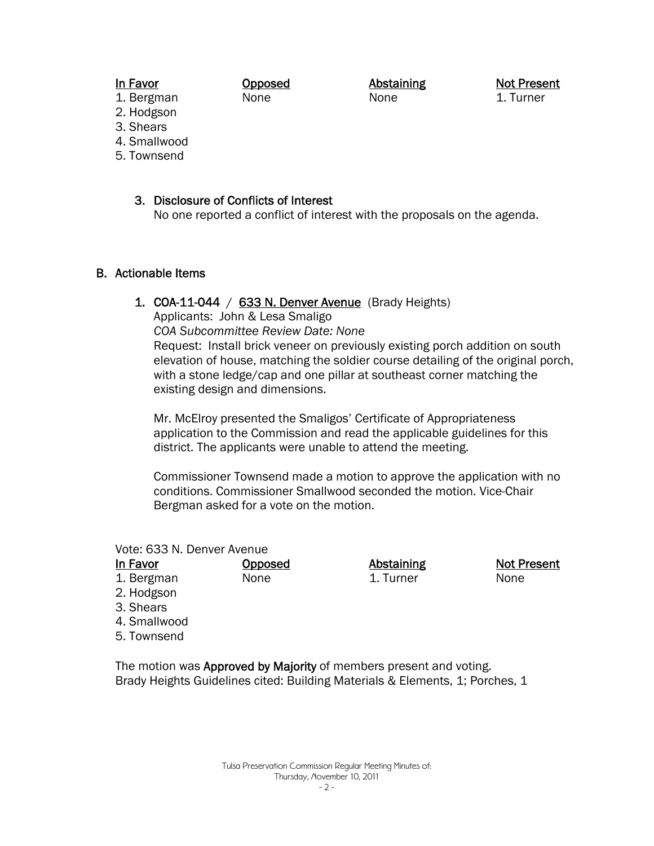#### In Favor

Opposed None

Abstaining None

Not Present 1. Turner

Not Present

None

- 1. Bergman 2. Hodgson
- 3. Shears
- 4. Smallwood
- 5. Townsend

## 3. Disclosure of Conflicts of Interest

No one reported a conflict of interest with the proposals on the agenda.

#### B. Actionable Items

#### 1. COA-11-044 /  $633$  N. Denver Avenue (Brady Heights)

Applicants: John & Lesa Smaligo

*COA Subcommittee Review Date: None* 

Opposed None

Request: Install brick veneer on previously existing porch addition on south elevation of house, matching the soldier course detailing of the original porch, with a stone ledge/cap and one pillar at southeast corner matching the existing design and dimensions.

Mr. McElroy presented the Smaligos' Certificate of Appropriateness application to the Commission and read the applicable guidelines for this district. The applicants were unable to attend the meeting.

Commissioner Townsend made a motion to approve the application with no conditions. Commissioner Smallwood seconded the motion. Vice-Chair Bergman asked for a vote on the motion.

> Abstaining 1. Turner

Vote: 633 N. Denver Avenue

In Favor 1. Bergman

2. Hodgson

3. Shears

4. Smallwood

5. Townsend

The motion was **Approved by Majority** of members present and voting. Brady Heights Guidelines cited: Building Materials & Elements, 1; Porches, 1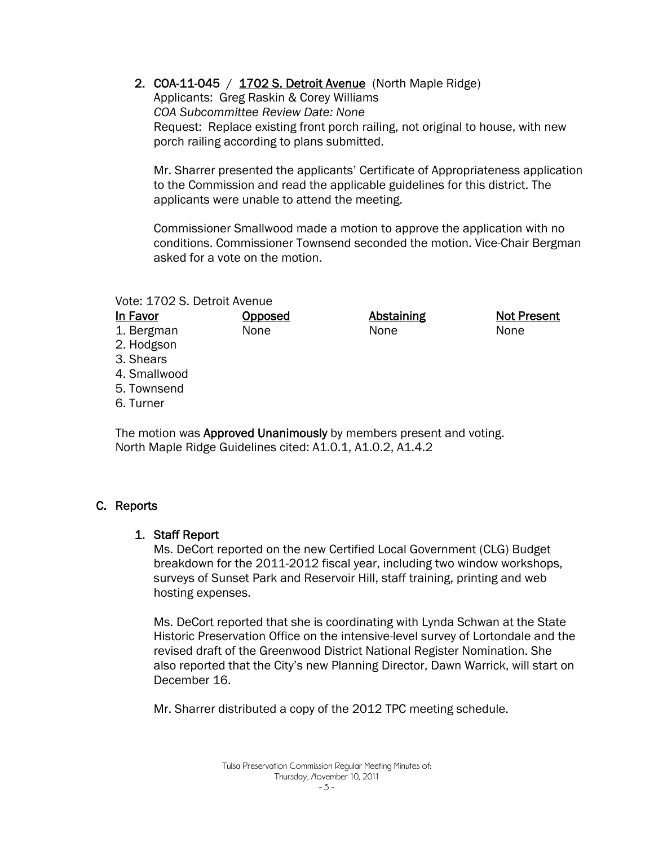2. COA-11-045 / 1702 S. Detroit Avenue (North Maple Ridge)

Applicants: Greg Raskin & Corey Williams *COA Subcommittee Review Date: None*  Request: Replace existing front porch railing, not original to house, with new porch railing according to plans submitted.

Mr. Sharrer presented the applicants' Certificate of Appropriateness application to the Commission and read the applicable guidelines for this district. The applicants were unable to attend the meeting.

Commissioner Smallwood made a motion to approve the application with no conditions. Commissioner Townsend seconded the motion. Vice-Chair Bergman asked for a vote on the motion.

#### Vote: 1702 S. Detroit Avenue

#### In Favor

Opposed None

**Abstaining** None

Not Present None

- 1. Bergman 2. Hodgson
- 3. Shears
- 4. Smallwood
- 5. Townsend
- 6. Turner

The motion was **Approved Unanimously** by members present and voting. North Maple Ridge Guidelines cited: A1.0.1, A1.0.2, A1.4.2

## C. Reports

### 1. Staff Report

Ms. DeCort reported on the new Certified Local Government (CLG) Budget breakdown for the 2011-2012 fiscal year, including two window workshops, surveys of Sunset Park and Reservoir Hill, staff training, printing and web hosting expenses.

Ms. DeCort reported that she is coordinating with Lynda Schwan at the State Historic Preservation Office on the intensive-level survey of Lortondale and the revised draft of the Greenwood District National Register Nomination. She also reported that the City's new Planning Director, Dawn Warrick, will start on December 16.

Mr. Sharrer distributed a copy of the 2012 TPC meeting schedule.